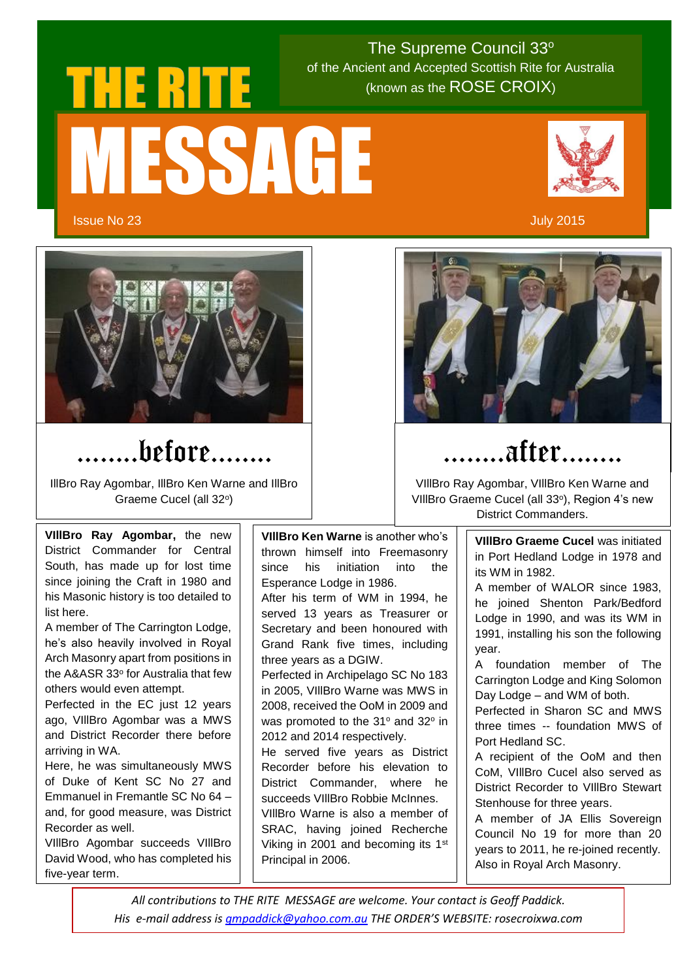## **THE RITE** (known as the ROSE CROIX) MESSAGE

 $\sim$  (known as the ROSE CROIX) The Supreme Council 33° of the Ancient and Accepted Scottish Rite for Australia



Issue No 23 July 2015



#### ……..before……..

IllBro Ray Agombar, IllBro Ken Warne and IllBro Graeme Cucel (all 32°)

**VIllBro Ray Agombar,** the new District Commander for Central South, has made up for lost time since joining the Craft in 1980 and his Masonic history is too detailed to list here.

A member of The Carrington Lodge, he's also heavily involved in Royal Arch Masonry apart from positions in the A&ASR 33° for Australia that few others would even attempt.

Perfected in the EC just 12 years ago, VIllBro Agombar was a MWS and District Recorder there before arriving in WA.

Here, he was simultaneously MWS of Duke of Kent SC No 27 and Emmanuel in Fremantle SC No 64 – and, for good measure, was District Recorder as well.

VIllBro Agombar succeeds VIllBro David Wood, who has completed his five-year term.

**VIllBro Ken Warne** is another who's thrown himself into Freemasonry since his initiation into the Esperance Lodge in 1986. After his term of WM in 1994, he served 13 years as Treasurer or Secretary and been honoured with Grand Rank five times, including three years as a DGIW. Perfected in Archipelago SC No 183 in 2005, VIllBro Warne was MWS in 2008, received the OoM in 2009 and was promoted to the  $31^{\circ}$  and  $32^{\circ}$  in 2012 and 2014 respectively. He served five years as District Recorder before his elevation to District Commander, where he succeeds VIllBro Robbie McInnes. VIllBro Warne is also a member of SRAC, having joined Recherche Viking in 2001 and becoming its 1st Principal in 2006.



#### ……..after……..

VIllBro Ray Agombar, VIllBro Ken Warne and VIIIBro Graeme Cucel (all 33°), Region 4's new District Commanders.

> **VIllBro Graeme Cucel** was initiated in Port Hedland Lodge in 1978 and its WM in 1982.

> A member of WALOR since 1983, he joined Shenton Park/Bedford Lodge in 1990, and was its WM in 1991, installing his son the following year.

> A foundation member of The Carrington Lodge and King Solomon Day Lodge – and WM of both.

> Perfected in Sharon SC and MWS three times -- foundation MWS of Port Hedland SC.

> A recipient of the OoM and then CoM, VIllBro Cucel also served as District Recorder to VIllBro Stewart Stenhouse for three years.

> A member of JA Ellis Sovereign Council No 19 for more than 20 years to 2011, he re-joined recently. Also in Royal Arch Masonry.

*All contributions to THE RITE MESSAGE are welcome. Your contact is Geoff Paddick. His e-mail address i[s gmpaddick@yahoo.com.au](mailto:gmpaddick@yahoo.com.au) THE ORDER'S WEBSITE: rosecroixwa.com*